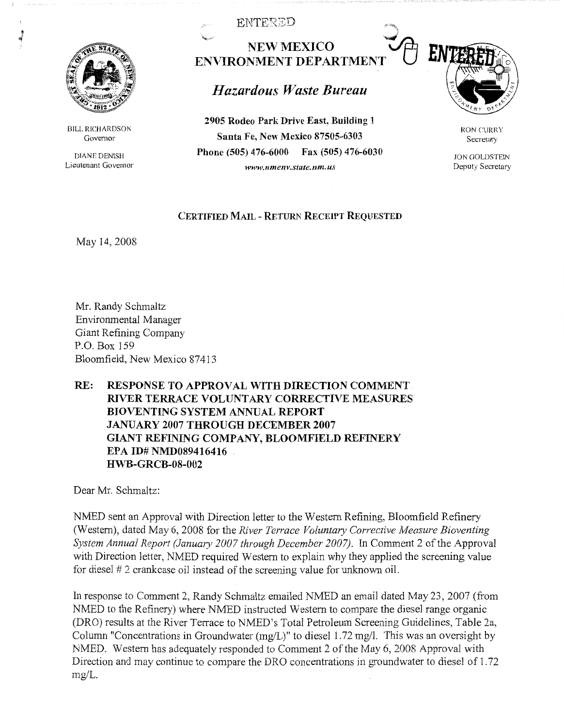

J

BILL RICHARDSON Governor

DIANE DENISH Lieutenant Governor ENTERZD

""""'; **NEW MEXICO ENVIRONMENT DEPARTMENT** 

## *Hazardous Waste Bureau*

**2905 Rodeo Park Drive East, Building 1 Santa Fe, New Mexico 87505-6303 Phone (505) 476-6000 Fax (505) 476-6030**  *www.nmenv.state.nm.us* 



RON CURRY Secretary

JON GOLDSTEIN Deputy Secretary

## **CERTIFIED MAIL** - **RETURN RECEIPT REQUESTED**

May 14, 2008

Mr. Randy Schmaltz Environmental Manager Giant Refining Company P.O. Box 159 Bloomfield, New Mexico 87413

## **RE: RESPONSE TO APPROVAL WITH DIRECTION COMMENT RIVER TERRACE VOLUNTARY CORRECTIVE MEASURES BIOVENTING SYSTEM ANNUAL REPORT JANUARY 2007 THROUGH DECEMBER 2007 GIANT REFINING COMPANY, BLOOMFIELD REFINERY EPA ID# NMD089416416 HWB-GRCB-08-002**

Dear Mr. Schmaltz:

NMED sent an Approval with Direction letter to the Western Refining, Bloomfield Refinery (Western), dated May 6, 2008 for the *River Terrace Voluntary Corrective Measure Bioventing System Annual Report (January 2007 through December 2007).* In Comment 2 of the Approval with Direction letter, NMED required Western to explain why they applied the screening value for diesel # 2 crankcase oil instead of the screening value for unknown oil.

In response to Comment 2, Randy Schmaltz emailed NMED an email dated May 23, 2007 (from NMED to the Refinery) where NMED instructed Western to compare the diesel range organic (DRO) results at the River Terrace to NMED's Total Petroleum Screening Guidelines, Table 2a, Column "Concentrations in Groundwater (mg/L)" to diesel 1.72 mg/I. This was an oversight by NMED. Western has adequately responded to Comment 2 of the May 6, 2008 Approval with Direction and may continue to compare the DRO concentrations in groundwater to diesel of 1.72 mg/L.